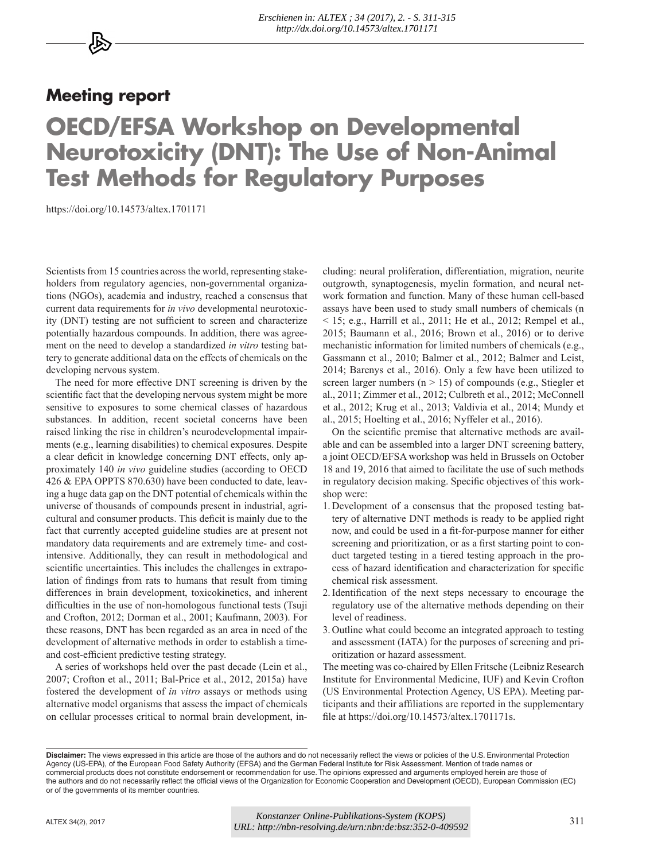## **Meeting report**

## **OECD/EFSA Workshop on Developmental Neurotoxicity (DNT): The Use of Non-Animal Test Methods for Regulatory Purposes**

<https://doi.org/10.14573/altex.1701171>

Scientists from 15 countries across the world, representing stakeholders from regulatory agencies, non-governmental organizations (NGOs), academia and industry, reached a consensus that current data requirements for *in vivo* developmental neurotoxicity (DNT) testing are not sufficient to screen and characterize potentially hazardous compounds. In addition, there was agreement on the need to develop a standardized *in vitro* testing battery to generate additional data on the effects of chemicals on the developing nervous system.

The need for more effective DNT screening is driven by the scientific fact that the developing nervous system might be more sensitive to exposures to some chemical classes of hazardous substances. In addition, recent societal concerns have been raised linking the rise in children's neurodevelopmental impairments (e.g., learning disabilities) to chemical exposures. Despite a clear deficit in knowledge concerning DNT effects, only approximately 140 *in vivo* guideline studies (according to OECD 426 & EPA OPPTS 870.630) have been conducted to date, leaving a huge data gap on the DNT potential of chemicals within the universe of thousands of compounds present in industrial, agricultural and consumer products. This deficit is mainly due to the fact that currently accepted guideline studies are at present not mandatory data requirements and are extremely time- and costintensive. Additionally, they can result in methodological and scientific uncertainties. This includes the challenges in extrapolation of findings from rats to humans that result from timing differences in brain development, toxicokinetics, and inherent difficulties in the use of non-homologous functional tests (Tsuji and Crofton, 2012; Dorman et al., 2001; Kaufmann, 2003). For these reasons, DNT has been regarded as an area in need of the development of alternative methods in order to establish a timeand cost-efficient predictive testing strategy.

A series of workshops held over the past decade (Lein et al., 2007; Crofton et al., 2011; Bal-Price et al., 2012, 2015a) have fostered the development of *in vitro* assays or methods using alternative model organisms that assess the impact of chemicals on cellular processes critical to normal brain development, in-

cluding: neural proliferation, differentiation, migration, neurite outgrowth, synaptogenesis, myelin formation, and neural network formation and function. Many of these human cell-based assays have been used to study small numbers of chemicals (n  $<$  15; e.g., Harrill et al., 2011; He et al., 2012; Rempel et al., 2015; Baumann et al., 2016; Brown et al., 2016) or to derive mechanistic information for limited numbers of chemicals (e.g., Gassmann et al., 2010; Balmer et al., 2012; Balmer and Leist, 2014; Barenys et al., 2016). Only a few have been utilized to screen larger numbers ( $n > 15$ ) of compounds (e.g., Stiegler et al., 2011; Zimmer et al., 2012; Culbreth et al., 2012; McConnell et al., 2012; Krug et al., 2013; Valdivia et al., 2014; Mundy et al., 2015; Hoelting et al., 2016; Nyffeler et al., 2016).

On the scientific premise that alternative methods are available and can be assembled into a larger DNT screening battery, a joint OECD/EFSA workshop was held in Brussels on October 18 and 19, 2016 that aimed to facilitate the use of such methods in regulatory decision making. Specific objectives of this workshop were:

- 1. Development of a consensus that the proposed testing battery of alternative DNT methods is ready to be applied right now, and could be used in a fit-for-purpose manner for either screening and prioritization, or as a first starting point to conduct targeted testing in a tiered testing approach in the process of hazard identification and characterization for specific chemical risk assessment.
- 2.Identification of the next steps necessary to encourage the regulatory use of the alternative methods depending on their level of readiness.
- 3. Outline what could become an integrated approach to testing and assessment (IATA) for the purposes of screening and prioritization or hazard assessment.

The meeting was co-chaired by Ellen Fritsche (Leibniz Research Institute for Environmental Medicine, IUF) and Kevin Crofton (US Environmental Protection Agency, US EPA). Meeting participants and their affiliations are reported in the supplementary file at [https://doi.org/10.14573/altex.1701171s.](https://doi.org/10.14573/altex.1701171s) 

**Disclaimer:** The views expressed in this article are those of the authors and do not necessarily reflect the views or policies of the U.S. Environmental Protection Agency (US-EPA), of the European Food Safety Authority (EFSA) and the German Federal Institute for Risk Assessment. Mention of trade names or commercial products does not constitute endorsement or recommendation for use. The opinions expressed and arguments employed herein are those of the authors and do not necessarily reflect the official views of the Organization for Economic Cooperation and Development (OECD), European Commission (EC) or of the governments of its member countries.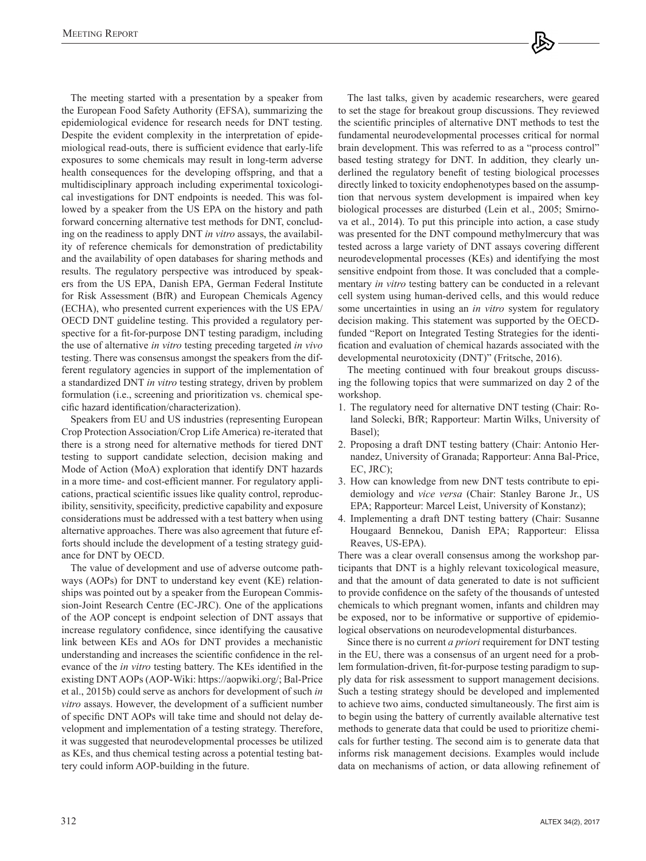The meeting started with a presentation by a speaker from the European Food Safety Authority (EFSA), summarizing the epidemiological evidence for research needs for DNT testing. Despite the evident complexity in the interpretation of epidemiological read-outs, there is sufficient evidence that early-life exposures to some chemicals may result in long-term adverse health consequences for the developing offspring, and that a multidisciplinary approach including experimental toxicological investigations for DNT endpoints is needed. This was followed by a speaker from the US EPA on the history and path forward concerning alternative test methods for DNT, concluding on the readiness to apply DNT *in vitro* assays, the availability of reference chemicals for demonstration of predictability and the availability of open databases for sharing methods and results. The regulatory perspective was introduced by speakers from the US EPA, Danish EPA, German Federal Institute for Risk Assessment (BfR) and European Chemicals Agency (ECHA), who presented current experiences with the US EPA/ OECD DNT guideline testing. This provided a regulatory perspective for a fit-for-purpose DNT testing paradigm, including the use of alternative *in vitro* testing preceding targeted *in vivo* testing. There was consensus amongst the speakers from the different regulatory agencies in support of the implementation of a standardized DNT *in vitro* testing strategy, driven by problem formulation (i.e., screening and prioritization vs. chemical specific hazard identification/characterization).

Speakers from EU and US industries (representing European Crop Protection Association/Crop Life America) re-iterated that there is a strong need for alternative methods for tiered DNT testing to support candidate selection, decision making and Mode of Action (MoA) exploration that identify DNT hazards in a more time- and cost-efficient manner. For regulatory applications, practical scientific issues like quality control, reproducibility, sensitivity, specificity, predictive capability and exposure considerations must be addressed with a test battery when using alternative approaches. There was also agreement that future efforts should include the development of a testing strategy guidance for DNT by OECD.

The value of development and use of adverse outcome pathways (AOPs) for DNT to understand key event (KE) relationships was pointed out by a speaker from the European Commission-Joint Research Centre (EC-JRC). One of the applications of the AOP concept is endpoint selection of DNT assays that increase regulatory confidence, since identifying the causative link between KEs and AOs for DNT provides a mechanistic understanding and increases the scientific confidence in the relevance of the *in vitro* testing battery. The KEs identified in the existing DNT AOPs (AOP-Wiki: [https://aopwiki.org/; Ba](https://aopwiki.org/)l-Price et al., 2015b) could serve as anchors for development of such *in vitro* assays. However, the development of a sufficient number of specific DNT AOPs will take time and should not delay development and implementation of a testing strategy. Therefore, it was suggested that neurodevelopmental processes be utilized as KEs, and thus chemical testing across a potential testing battery could inform AOP-building in the future.

The last talks, given by academic researchers, were geared to set the stage for breakout group discussions. They reviewed the scientific principles of alternative DNT methods to test the fundamental neurodevelopmental processes critical for normal brain development. This was referred to as a "process control" based testing strategy for DNT. In addition, they clearly underlined the regulatory benefit of testing biological processes directly linked to toxicity endophenotypes based on the assumption that nervous system development is impaired when key biological processes are disturbed (Lein et al., 2005; Smirnova et al., 2014). To put this principle into action, a case study was presented for the DNT compound methylmercury that was tested across a large variety of DNT assays covering different neurodevelopmental processes (KEs) and identifying the most sensitive endpoint from those. It was concluded that a complementary *in vitro* testing battery can be conducted in a relevant cell system using human-derived cells, and this would reduce some uncertainties in using an *in vitro* system for regulatory decision making. This statement was supported by the OECDfunded "Report on Integrated Testing Strategies for the identification and evaluation of chemical hazards associated with the developmental neurotoxicity (DNT)" (Fritsche, 2016).

The meeting continued with four breakout groups discussing the following topics that were summarized on day 2 of the workshop.

- 1. The regulatory need for alternative DNT testing (Chair: Roland Solecki, BfR; Rapporteur: Martin Wilks, University of Basel);
- 2. Proposing a draft DNT testing battery (Chair: Antonio Hernandez, University of Granada; Rapporteur: Anna Bal-Price, EC, JRC);
- 3. How can knowledge from new DNT tests contribute to epidemiology and *vice versa* (Chair: Stanley Barone Jr., US EPA; Rapporteur: Marcel Leist, University of Konstanz);
- 4. Implementing a draft DNT testing battery (Chair: Susanne Hougaard Bennekou, Danish EPA; Rapporteur: Elissa Reaves, US-EPA).

There was a clear overall consensus among the workshop participants that DNT is a highly relevant toxicological measure, and that the amount of data generated to date is not sufficient to provide confidence on the safety of the thousands of untested chemicals to which pregnant women, infants and children may be exposed, nor to be informative or supportive of epidemiological observations on neurodevelopmental disturbances.

Since there is no current *a priori* requirement for DNT testing in the EU, there was a consensus of an urgent need for a problem formulation-driven, fit-for-purpose testing paradigm to supply data for risk assessment to support management decisions. Such a testing strategy should be developed and implemented to achieve two aims, conducted simultaneously. The first aim is to begin using the battery of currently available alternative test methods to generate data that could be used to prioritize chemicals for further testing. The second aim is to generate data that informs risk management decisions. Examples would include data on mechanisms of action, or data allowing refinement of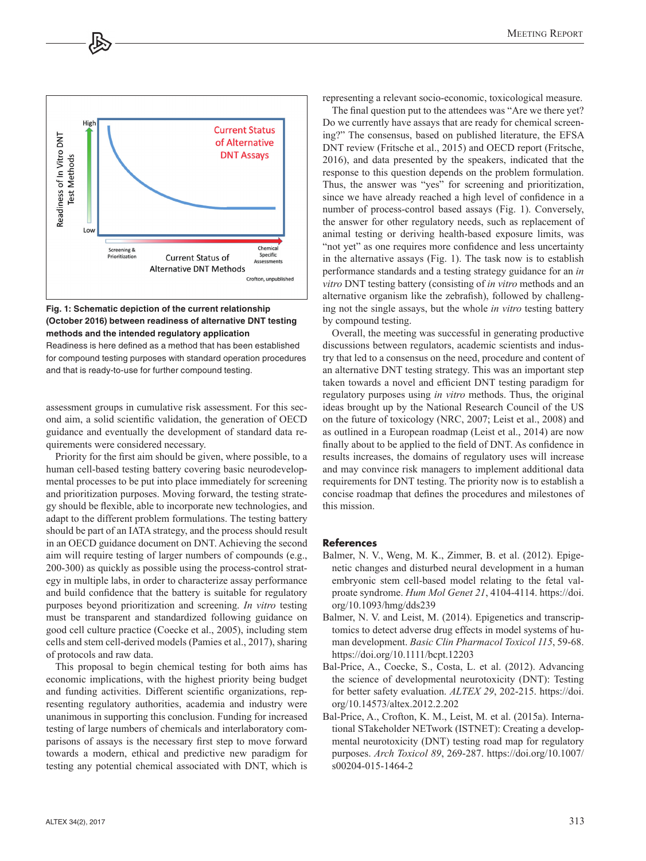

## **Fig. 1: Schematic depiction of the current relationship (October 2016) between readiness of alternative DNT testing methods and the intended regulatory application**

Readiness is here defined as a method that has been established for compound testing purposes with standard operation procedures and that is ready-to-use for further compound testing.

assessment groups in cumulative risk assessment. For this second aim, a solid scientific validation, the generation of OECD guidance and eventually the development of standard data requirements were considered necessary.

Priority for the first aim should be given, where possible, to a human cell-based testing battery covering basic neurodevelopmental processes to be put into place immediately for screening and prioritization purposes. Moving forward, the testing strategy should be flexible, able to incorporate new technologies, and adapt to the different problem formulations. The testing battery should be part of an IATA strategy, and the process should result in an OECD guidance document on DNT. Achieving the second aim will require testing of larger numbers of compounds (e.g., 200-300) as quickly as possible using the process-control strategy in multiple labs, in order to characterize assay performance and build confidence that the battery is suitable for regulatory purposes beyond prioritization and screening. *In vitro* testing must be transparent and standardized following guidance on good cell culture practice (Coecke et al., 2005), including stem cells and stem cell-derived models (Pamies et al., 2017), sharing of protocols and raw data.

This proposal to begin chemical testing for both aims has economic implications, with the highest priority being budget and funding activities. Different scientific organizations, representing regulatory authorities, academia and industry were unanimous in supporting this conclusion. Funding for increased testing of large numbers of chemicals and interlaboratory comparisons of assays is the necessary first step to move forward towards a modern, ethical and predictive new paradigm for testing any potential chemical associated with DNT, which is representing a relevant socio-economic, toxicological measure.

The final question put to the attendees was "Are we there yet? Do we currently have assays that are ready for chemical screening?" The consensus, based on published literature, the EFSA DNT review (Fritsche et al., 2015) and OECD report (Fritsche, 2016), and data presented by the speakers, indicated that the response to this question depends on the problem formulation. Thus, the answer was "yes" for screening and prioritization, since we have already reached a high level of confidence in a number of process-control based assays (Fig. 1). Conversely, the answer for other regulatory needs, such as replacement of animal testing or deriving health-based exposure limits, was "not yet" as one requires more confidence and less uncertainty in the alternative assays (Fig. 1). The task now is to establish performance standards and a testing strategy guidance for an *in vitro* DNT testing battery (consisting of *in vitro* methods and an alternative organism like the zebrafish), followed by challenging not the single assays, but the whole *in vitro* testing battery by compound testing.

Overall, the meeting was successful in generating productive discussions between regulators, academic scientists and industry that led to a consensus on the need, procedure and content of an alternative DNT testing strategy. This was an important step taken towards a novel and efficient DNT testing paradigm for regulatory purposes using *in vitro* methods. Thus, the original ideas brought up by the National Research Council of the US on the future of toxicology (NRC, 2007; Leist et al., 2008) and as outlined in a European roadmap (Leist et al., 2014) are now finally about to be applied to the field of DNT. As confidence in results increases, the domains of regulatory uses will increase and may convince risk managers to implement additional data requirements for DNT testing. The priority now is to establish a concise roadmap that defines the procedures and milestones of this mission.

## **References**

- Balmer, N. V., Weng, M. K., Zimmer, B. et al. (2012). Epigenetic changes and disturbed neural development in a human embryonic stem cell-based model relating to the fetal valproate syndrome. *Hum Mol Genet 21*, 4104-4114. [https://doi.](https://doi) org/10.1093/hmg/dds239
- Balmer, N. V. and Leist, M. (2014). Epigenetics and transcriptomics to detect adverse drug effects in model systems of human development. *Basic Clin Pharmacol Toxicol 115*, 59-68. <https://doi.org/10.1111/bcpt.12203>
- Bal-Price, A., Coecke, S., Costa, L. et al. (2012). Advancing the science of developmental neurotoxicity (DNT): Testing for better safety evaluation. *ALTEX 29*, 202-215. [https://doi.](https://doi) org/10.14573/altex.2012.2.202
- Bal-Price, A., Crofton, K. M., Leist, M. et al. (2015a). International STakeholder NETwork (ISTNET): Creating a developmental neurotoxicity (DNT) testing road map for regulatory purposes. *Arch Toxicol 89*, 269-287. <https://doi.org/10.1007/> s00204-015-1464-2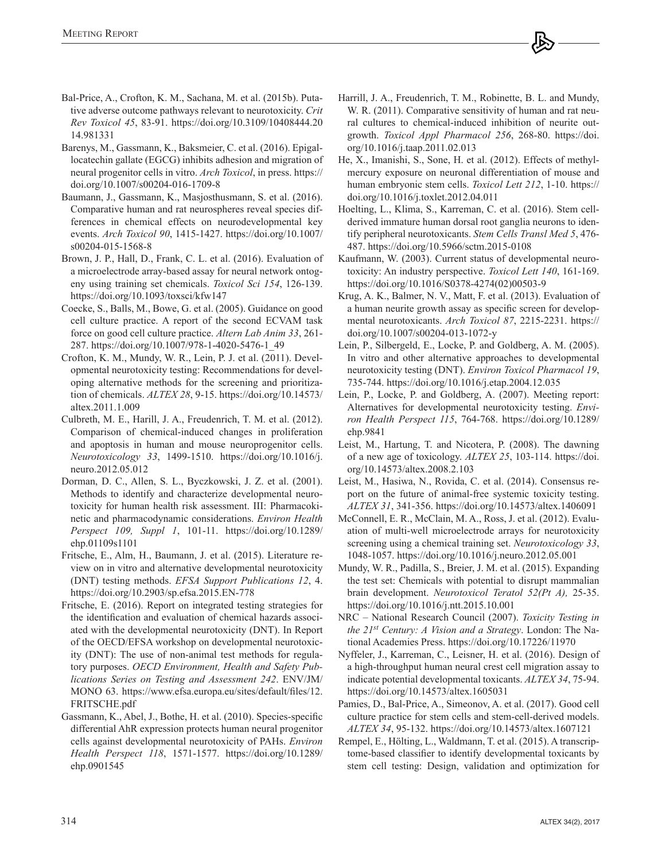- Bal-Price, A., Crofton, K. M., Sachana, M. et al. (2015b). Putative adverse outcome pathways relevant to neurotoxicity. *Crit Rev Toxicol 45*, 83-91. <https://doi.org/10.3109/10408444.20> 14.981331
- Barenys, M., Gassmann, K., Baksmeier, C. et al. (2016). Epigallocatechin gallate (EGCG) inhibits adhesion and migration of neural progenitor cells in vitro. *Arch Toxicol*, in press. [https://](https://doi.org/10.1007/s00204-016-1709-8) [doi.org/10.1007/s00204-016-1709-8](https://doi.org/10.1007/s00204-016-1709-8)
- Baumann, J., Gassmann, K., Masjosthusmann, S. et al. (2016). Comparative human and rat neurospheres reveal species differences in chemical effects on neurodevelopmental key events. *Arch Toxicol 90*, 1415-1427. <https://doi.org/10.1007/> s00204-015-1568-8
- Brown, J. P., Hall, D., Frank, C. L. et al. (2016). Evaluation of a microelectrode array-based assay for neural network ontogeny using training set chemicals. *Toxicol Sci 154*, 126-139. <https://doi.org/10.1093/toxsci/kfw147>
- Coecke, S., Balls, M., Bowe, G. et al. (2005). Guidance on good cell culture practice. A report of the second ECVAM task force on good cell culture practice. *Altern Lab Anim 33*, 261- 287. [https://doi.org/10.1007/978-1-4020-5476-1\\_49](https://doi.org/10.1007/978-1-4020-5476-1_49)
- Crofton, K. M., Mundy, W. R., Lein, P. J. et al. (2011). Developmental neurotoxicity testing: Recommendations for developing alternative methods for the screening and prioritization of chemicals. *ALTEX 28*[, 9-15. https://doi.org/10.14573/](https://doi.org/10.14573/altex.2011.1.009) altex.2011.1.009
- Culbreth, M. E., Harill, J. A., Freudenrich, T. M. et al. (2012). Comparison of chemical-induced changes in proliferation and apoptosis in human and mouse neuroprogenitor cells. *Neurotoxicology 33*[, 1499-1510. https://doi.org/10.1016/j.](https://doi.org/10.1016/j.neuro.2012.05.012) neuro.2012.05.012
- Dorman, D. C., Allen, S. L., Byczkowski, J. Z. et al. (2001). Methods to identify and characterize developmental neurotoxicity for human health risk assessment. III: Pharmacokinetic and pharmacodynamic considerations. *Environ Health Perspect 109, Suppl 1*[, 101-11. https://doi.org/10.1289/](https://doi.org/10.1289/ehp.01109s1101) ehp.01109s1101
- Fritsche, E., Alm, H., Baumann, J. et al. (2015). Literature review on in vitro and alternative developmental neurotoxicity (DNT) testing methods. *EFSA Support Publications 12*, 4. <https://doi.org/10.2903/sp.efsa.2015.EN-778>
- Fritsche, E. (2016). Report on integrated testing strategies for the identification and evaluation of chemical hazards associated with the developmental neurotoxicity (DNT). In Report of the OECD/EFSA workshop on developmental neurotoxicity (DNT): The use of non-animal test methods for regulatory purposes. *OECD Environment, Health and Safety Publications Series on Testing and Assessment 242*. ENV/JM/ [MONO 63. https://www.efsa.europa.eu/sites/default/files/12.](https://www.efsa.europa.eu/sites/default/files/12.FRITSCHE.pdf) FRITSCHE.pdf
- Gassmann, K., Abel, J., Bothe, H. et al. (2010). Species-specific differential AhR expression protects human neural progenitor cells against developmental neurotoxicity of PAHs. *Environ Health Perspect 118*[, 1571-1577. https://doi.org/10.1289/](https://doi.org/10.1289/ehp.0901545) ehp.0901545
- Harrill, J. A., Freudenrich, T. M., Robinette, B. L. and Mundy, W. R. (2011). Comparative sensitivity of human and rat neural cultures to chemical-induced inhibition of neurite outgrowth. *[Toxicol Appl Pharmacol 256](https://doi.org/10.1016/j.taap.2011.02.013)*, 268-80. https://doi. org/10.1016/j.taap.2011.02.013
- He, X., Imanishi, S., Sone, H. et al. (2012). Effects of methylmercury exposure on neuronal differentiation of mouse and human embryonic stem cells. *Toxicol Lett 212*, 1-10. [https://](https://doi.org/10.1016/j.toxlet.2012.04.011) [doi.org/10.1016/j.toxlet.2012.04.011](https://doi.org/10.1016/j.toxlet.2012.04.011)
- Hoelting, L., Klima, S., Karreman, C. et al. (2016). Stem cellderived immature human dorsal root ganglia neurons to identify peripheral neurotoxicants. *Stem Cells Transl Med 5*, 476- 487.<https://doi.org/10.5966/sctm.2015-0108>
- Kaufmann, W. (2003). Current status of developmental neurotoxicity: An industry perspective. *Toxicol Lett 140*, 161-169. [https://doi.org/10.1016/S0378-4274\(02\)00503-9](https://doi.org/10.1016/S0378-4274(02)00503-9)
- Krug, A. K., Balmer, N. V., Matt, F. et al. (2013). Evaluation of a human neurite growth assay as specific screen for developmental neurotoxicants. *Arch Toxicol 87*, 2215-2231. [https://](https://doi.org/10.1007/s00204-013-1072-y) [doi.org/10.1007/s00204-013-1072-y](https://doi.org/10.1007/s00204-013-1072-y)
- Lein, P., Silbergeld, E., Locke, P. and Goldberg, A. M. (2005). In vitro and other alternative approaches to developmental neurotoxicity testing (DNT). *Environ Toxicol Pharmacol 19*, 735-744. <https://doi.org/10.1016/j.etap.2004.12.035>
- Lein, P., Locke, P. and Goldberg, A. (2007). Meeting report: Alternatives for developmental neurotoxicity testing. *Environ Health Perspect 115*[, 764-768. https://doi.org/10.1289/](https://doi.org/10.1289/ehp.9841) ehp.9841
- Leist, M., Hartung, T. and Nicotera, P. (2008). The dawning of a new age of toxicology. *ALTEX 25*, 103-114. https://doi. [org/10.14573/altex.2008.2.103](https://doi.org/10.14573/altex.2008.2.103)
- Leist, M., Hasiwa, N., Rovida, C. et al. (2014). Consensus report on the future of animal-free systemic toxicity testing. *ALTEX 31*, 341-356. <https://doi.org/10.14573/altex.1406091>
- McConnell, E. R., McClain, M. A., Ross, J. et al. (2012). Evaluation of multi-well microelectrode arrays for neurotoxicity screening using a chemical training set. *Neurotoxicology 33*, 1048-1057.<https://doi.org/10.1016/j.neuro.2012.05.001>
- Mundy, W. R., Padilla, S., Breier, J. M. et al. (2015). Expanding the test set: Chemicals with potential to disrupt mammalian brain development. *Neurotoxicol Teratol 52(Pt A),* 25-35. <https://doi.org/10.1016/j.ntt.2015.10.001>
- NRC National Research Council (2007). *Toxicity Testing in the 21st Century: A Vision and a Strategy*. London: The National Academies Press.<https://doi.org/10.17226/11970>
- Nyffeler, J., Karreman, C., Leisner, H. et al. (2016). Design of a high-throughput human neural crest cell migration assay to indicate potential developmental toxicants. *ALTEX 34*, 75-94. <https://doi.org/10.14573/altex.1605031>
- Pamies, D., Bal-Price, A., Simeonov, A. et al. (2017). Good cell culture practice for stem cells and stem-cell-derived models. *ALTEX 34*, 95-132.<https://doi.org/10.14573/altex.1607121>
- Rempel, E., Hölting, L., Waldmann, T. et al. (2015). A transcriptome-based classifier to identify developmental toxicants by stem cell testing: Design, validation and optimization for